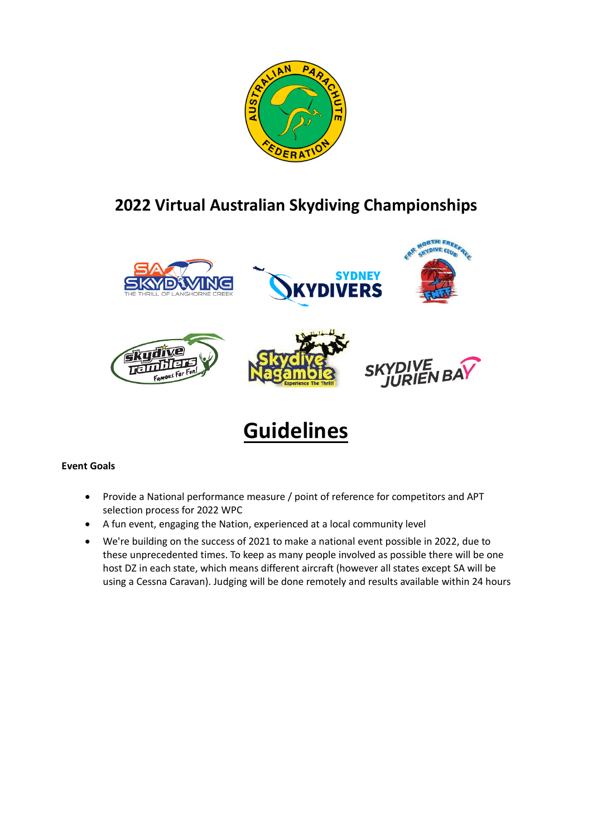

# **2022 Virtual Australian Skydiving Championships**



# **Guidelines**

# **Event Goals**

- Provide a National performance measure / point of reference for competitors and APT selection process for 2022 WPC
- A fun event, engaging the Nation, experienced at a local community level
- We're building on the success of 2021 to make a national event possible in 2022, due to these unprecedented times. To keep as many people involved as possible there will be one host DZ in each state, which means different aircraft (however all states except SA will be using a Cessna Caravan). Judging will be done remotely and results available within 24 hours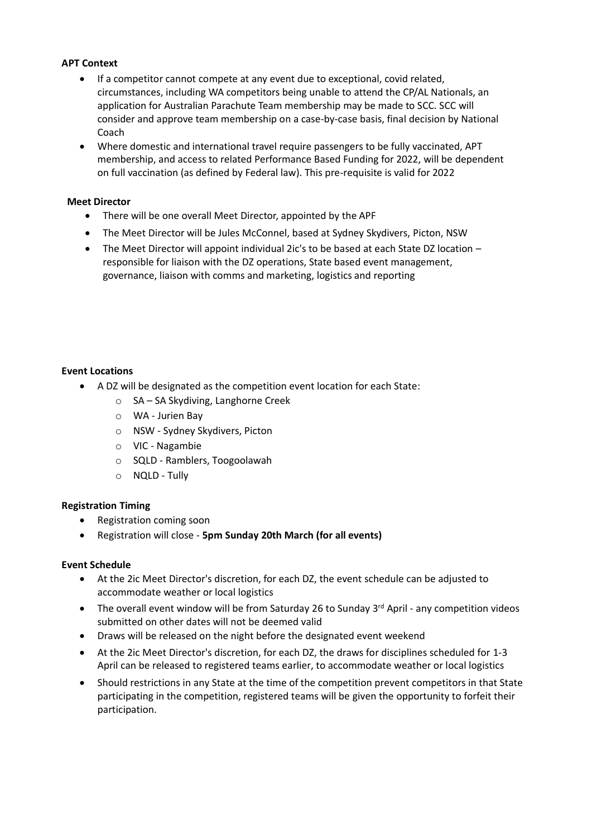## **APT Context**

- If a competitor cannot compete at any event due to exceptional, covid related, circumstances, including WA competitors being unable to attend the CP/AL Nationals, an application for Australian Parachute Team membership may be made to SCC. SCC will consider and approve team membership on a case-by-case basis, final decision by National Coach
- Where domestic and international travel require passengers to be fully vaccinated, APT membership, and access to related Performance Based Funding for 2022, will be dependent on full vaccination (as defined by Federal law). This pre-requisite is valid for 2022

#### **Meet Director**

- There will be one overall Meet Director, appointed by the APF
- The Meet Director will be Jules McConnel, based at Sydney Skydivers, Picton, NSW
- The Meet Director will appoint individual 2ic's to be based at each State DZ location responsible for liaison with the DZ operations, State based event management, governance, liaison with comms and marketing, logistics and reporting

#### **Event Locations**

- A DZ will be designated as the competition event location for each State:
	- o SA SA Skydiving, Langhorne Creek
	- o WA Jurien Bay
	- o NSW Sydney Skydivers, Picton
	- o VIC Nagambie
	- o SQLD Ramblers, Toogoolawah
	- o NQLD Tully

#### **Registration Timing**

- Registration coming soon
- Registration will close **5pm Sunday 20th March (for all events)**

#### **Event Schedule**

- At the 2ic Meet Director's discretion, for each DZ, the event schedule can be adjusted to accommodate weather or local logistics
- The overall event window will be from Saturday 26 to Sunday 3<sup>rd</sup> April any competition videos submitted on other dates will not be deemed valid
- Draws will be released on the night before the designated event weekend
- At the 2ic Meet Director's discretion, for each DZ, the draws for disciplines scheduled for 1-3 April can be released to registered teams earlier, to accommodate weather or local logistics
- Should restrictions in any State at the time of the competition prevent competitors in that State participating in the competition, registered teams will be given the opportunity to forfeit their participation.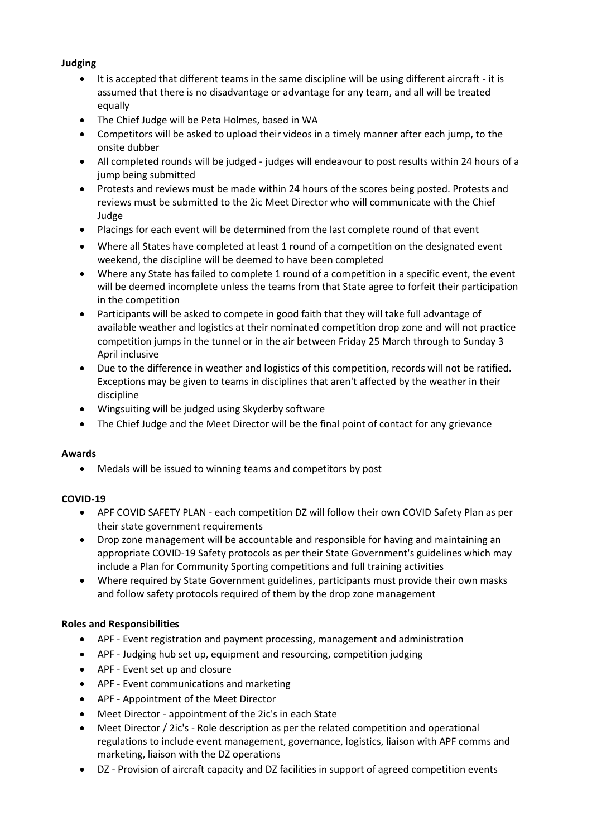# **Judging**

- It is accepted that different teams in the same discipline will be using different aircraft it is assumed that there is no disadvantage or advantage for any team, and all will be treated equally
- The Chief Judge will be Peta Holmes, based in WA
- Competitors will be asked to upload their videos in a timely manner after each jump, to the onsite dubber
- All completed rounds will be judged judges will endeavour to post results within 24 hours of a jump being submitted
- Protests and reviews must be made within 24 hours of the scores being posted. Protests and reviews must be submitted to the 2ic Meet Director who will communicate with the Chief Judge
- Placings for each event will be determined from the last complete round of that event
- Where all States have completed at least 1 round of a competition on the designated event weekend, the discipline will be deemed to have been completed
- Where any State has failed to complete 1 round of a competition in a specific event, the event will be deemed incomplete unless the teams from that State agree to forfeit their participation in the competition
- Participants will be asked to compete in good faith that they will take full advantage of available weather and logistics at their nominated competition drop zone and will not practice competition jumps in the tunnel or in the air between Friday 25 March through to Sunday 3 April inclusive
- Due to the difference in weather and logistics of this competition, records will not be ratified. Exceptions may be given to teams in disciplines that aren't affected by the weather in their discipline
- Wingsuiting will be judged using Skyderby software
- The Chief Judge and the Meet Director will be the final point of contact for any grievance

#### **Awards**

• Medals will be issued to winning teams and competitors by post

# **COVID-19**

- APF COVID SAFETY PLAN each competition DZ will follow their own COVID Safety Plan as per their state government requirements
- Drop zone management will be accountable and responsible for having and maintaining an appropriate COVID-19 Safety protocols as per their State Government's guidelines which may include a Plan for Community Sporting competitions and full training activities
- Where required by State Government guidelines, participants must provide their own masks and follow safety protocols required of them by the drop zone management

#### **Roles and Responsibilities**

- APF Event registration and payment processing, management and administration
- APF Judging hub set up, equipment and resourcing, competition judging
- APF Event set up and closure
- APF Event communications and marketing
- APF Appointment of the Meet Director
- Meet Director appointment of the 2ic's in each State
- Meet Director / 2ic's Role description as per the related competition and operational regulations to include event management, governance, logistics, liaison with APF comms and marketing, liaison with the DZ operations
- DZ Provision of aircraft capacity and DZ facilities in support of agreed competition events